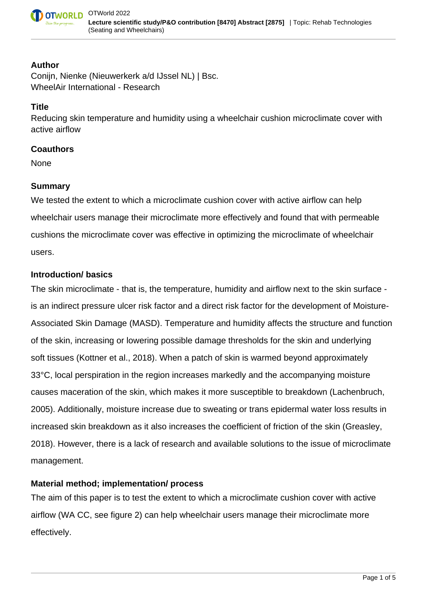

#### **Author**

Conijn, Nienke (Nieuwerkerk a/d IJssel NL) | Bsc. WheelAir International - Research

### **Title**

Reducing skin temperature and humidity using a wheelchair cushion microclimate cover with active airflow

### **Coauthors**

None

## **Summary**

We tested the extent to which a microclimate cushion cover with active airflow can help wheelchair users manage their microclimate more effectively and found that with permeable cushions the microclimate cover was effective in optimizing the microclimate of wheelchair users.

## **Introduction/ basics**

The skin microclimate - that is, the temperature, humidity and airflow next to the skin surface is an indirect pressure ulcer risk factor and a direct risk factor for the development of Moisture-Associated Skin Damage (MASD). Temperature and humidity affects the structure and function of the skin, increasing or lowering possible damage thresholds for the skin and underlying soft tissues (Kottner et al., 2018). When a patch of skin is warmed beyond approximately 33°C, local perspiration in the region increases markedly and the accompanying moisture causes maceration of the skin, which makes it more susceptible to breakdown (Lachenbruch, 2005). Additionally, moisture increase due to sweating or trans epidermal water loss results in increased skin breakdown as it also increases the coefficient of friction of the skin (Greasley, 2018). However, there is a lack of research and available solutions to the issue of microclimate management.

# **Material method; implementation/ process**

The aim of this paper is to test the extent to which a microclimate cushion cover with active airflow (WA CC, see figure 2) can help wheelchair users manage their microclimate more effectively.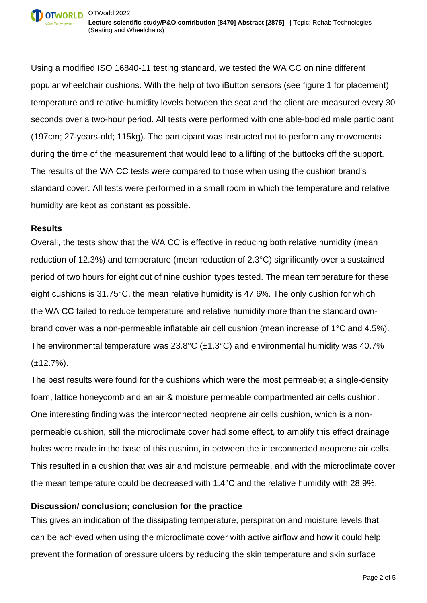Using a modified ISO 16840-11 testing standard, we tested the WA CC on nine different popular wheelchair cushions. With the help of two iButton sensors (see figure 1 for placement) temperature and relative humidity levels between the seat and the client are measured every 30 seconds over a two-hour period. All tests were performed with one able-bodied male participant (197cm; 27-years-old; 115kg). The participant was instructed not to perform any movements during the time of the measurement that would lead to a lifting of the buttocks off the support. The results of the WA CC tests were compared to those when using the cushion brand's standard cover. All tests were performed in a small room in which the temperature and relative humidity are kept as constant as possible.

#### **Results**

Overall, the tests show that the WA CC is effective in reducing both relative humidity (mean reduction of 12.3%) and temperature (mean reduction of 2.3°C) significantly over a sustained period of two hours for eight out of nine cushion types tested. The mean temperature for these eight cushions is 31.75°C, the mean relative humidity is 47.6%. The only cushion for which the WA CC failed to reduce temperature and relative humidity more than the standard ownbrand cover was a non-permeable inflatable air cell cushion (mean increase of 1°C and 4.5%). The environmental temperature was  $23.8^{\circ}$ C ( $\pm$ 1.3°C) and environmental humidity was 40.7%  $(\pm 12.7\%)$ .

The best results were found for the cushions which were the most permeable; a single-density foam, lattice honeycomb and an air & moisture permeable compartmented air cells cushion. One interesting finding was the interconnected neoprene air cells cushion, which is a nonpermeable cushion, still the microclimate cover had some effect, to amplify this effect drainage holes were made in the base of this cushion, in between the interconnected neoprene air cells. This resulted in a cushion that was air and moisture permeable, and with the microclimate cover the mean temperature could be decreased with 1.4°C and the relative humidity with 28.9%.

# **Discussion/ conclusion; conclusion for the practice**

This gives an indication of the dissipating temperature, perspiration and moisture levels that can be achieved when using the microclimate cover with active airflow and how it could help prevent the formation of pressure ulcers by reducing the skin temperature and skin surface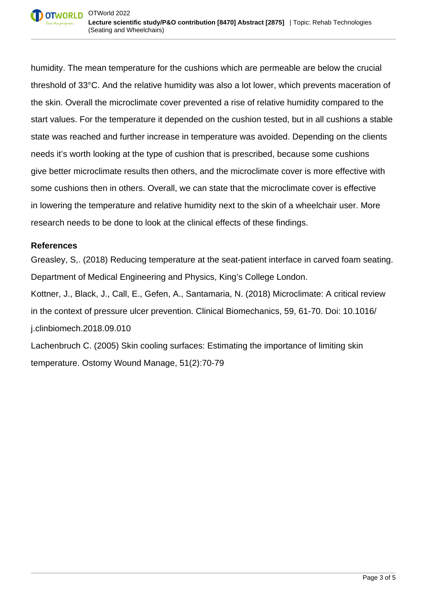humidity. The mean temperature for the cushions which are permeable are below the crucial threshold of 33°C. And the relative humidity was also a lot lower, which prevents maceration of the skin. Overall the microclimate cover prevented a rise of relative humidity compared to the start values. For the temperature it depended on the cushion tested, but in all cushions a stable state was reached and further increase in temperature was avoided. Depending on the clients needs it's worth looking at the type of cushion that is prescribed, because some cushions give better microclimate results then others, and the microclimate cover is more effective with some cushions then in others. Overall, we can state that the microclimate cover is effective in lowering the temperature and relative humidity next to the skin of a wheelchair user. More research needs to be done to look at the clinical effects of these findings.

#### **References**

Greasley, S,. (2018) Reducing temperature at the seat-patient interface in carved foam seating. Department of Medical Engineering and Physics, King's College London. Kottner, J., Black, J., Call, E., Gefen, A., Santamaria, N. (2018) Microclimate: A critical review in the context of pressure ulcer prevention. Clinical Biomechanics, 59, 61-70. Doi: 10.1016/ j.clinbiomech.2018.09.010

Lachenbruch C. (2005) Skin cooling surfaces: Estimating the importance of limiting skin temperature. Ostomy Wound Manage, 51(2):70-79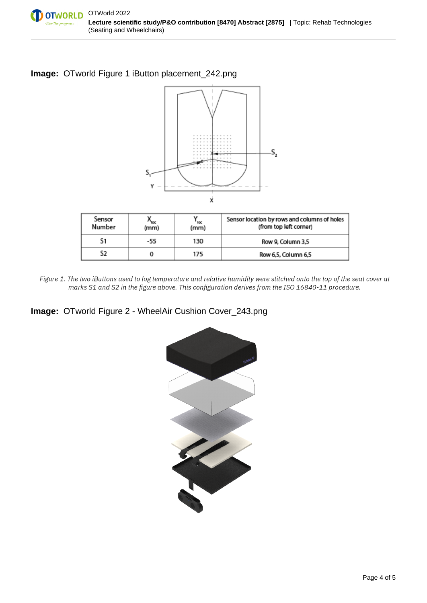

## **Image:** OTworld Figure 1 iButton placement\_242.png



| Sensor<br>Number | $^{\prime\prime}$ loc<br>(mm) | ' loc<br>(mm) | Sensor location by rows and columns of holes<br>(from top left corner) |  |  |  |
|------------------|-------------------------------|---------------|------------------------------------------------------------------------|--|--|--|
| S1               | -55                           | 130           | Row 9, Column 3,5                                                      |  |  |  |
| S2               |                               | 175           | Row 6,5, Column 6,5                                                    |  |  |  |

Figure 1. The two iButtons used to log temperature and relative humidity were stitched onto the top of the seat cover at marks S1 and S2 in the figure above. This configuration derives from the ISO 16840-11 procedure.

# **Image:** OTworld Figure 2 - WheelAir Cushion Cover\_243.png